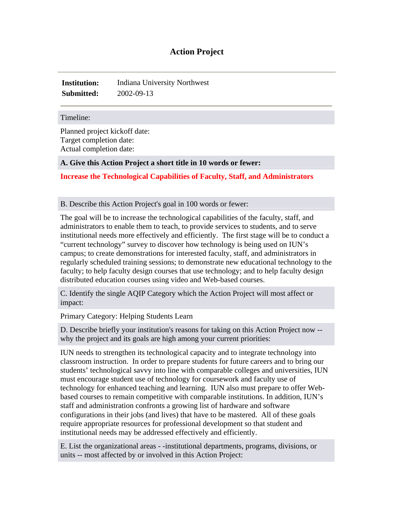# **Action Project**

**Institution:** Indiana University Northwest **Submitted:** 2002-09-13

#### Timeline:

Planned project kickoff date: Target completion date: Actual completion date:

#### **A. Give this Action Project a short title in 10 words or fewer:**

**Increase the Technological Capabilities of Faculty, Staff, and Administrators**

### B. Describe this Action Project's goal in 100 words or fewer:

The goal will be to increase the technological capabilities of the faculty, staff, and administrators to enable them to teach, to provide services to students, and to serve institutional needs more effectively and efficiently. The first stage will be to conduct a "current technology" survey to discover how technology is being used on IUN's campus; to create demonstrations for interested faculty, staff, and administrators in regularly scheduled training sessions; to demonstrate new educational technology to the faculty; to help faculty design courses that use technology; and to help faculty design distributed education courses using video and Web-based courses.

C. Identify the single AQIP Category which the Action Project will most affect or impact:

Primary Category: Helping Students Learn

D. Describe briefly your institution's reasons for taking on this Action Project now - why the project and its goals are high among your current priorities:

IUN needs to strengthen its technological capacity and to integrate technology into classroom instruction. In order to prepare students for future careers and to bring our students' technological savvy into line with comparable colleges and universities, IUN must encourage student use of technology for coursework and faculty use of technology for enhanced teaching and learning. IUN also must prepare to offer Webbased courses to remain competitive with comparable institutions. In addition, IUN's staff and administration confronts a growing list of hardware and software configurations in their jobs (and lives) that have to be mastered. All of these goals require appropriate resources for professional development so that student and institutional needs may be addressed effectively and efficiently.

E. List the organizational areas - -institutional departments, programs, divisions, or units -- most affected by or involved in this Action Project: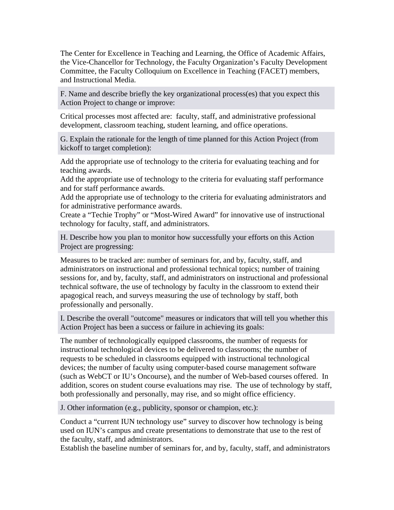The Center for Excellence in Teaching and Learning, the Office of Academic Affairs, the Vice-Chancellor for Technology, the Faculty Organization's Faculty Development Committee, the Faculty Colloquium on Excellence in Teaching (FACET) members, and Instructional Media.

F. Name and describe briefly the key organizational process(es) that you expect this Action Project to change or improve:

Critical processes most affected are: faculty, staff, and administrative professional development, classroom teaching, student learning, and office operations.

G. Explain the rationale for the length of time planned for this Action Project (from kickoff to target completion):

Add the appropriate use of technology to the criteria for evaluating teaching and for teaching awards.

Add the appropriate use of technology to the criteria for evaluating staff performance and for staff performance awards.

Add the appropriate use of technology to the criteria for evaluating administrators and for administrative performance awards.

Create a "Techie Trophy" or "Most-Wired Award" for innovative use of instructional technology for faculty, staff, and administrators.

H. Describe how you plan to monitor how successfully your efforts on this Action Project are progressing:

Measures to be tracked are: number of seminars for, and by, faculty, staff, and administrators on instructional and professional technical topics; number of training sessions for, and by, faculty, staff, and administrators on instructional and professional technical software, the use of technology by faculty in the classroom to extend their apagogical reach, and surveys measuring the use of technology by staff, both professionally and personally.

I. Describe the overall "outcome" measures or indicators that will tell you whether this Action Project has been a success or failure in achieving its goals:

The number of technologically equipped classrooms, the number of requests for instructional technological devices to be delivered to classrooms; the number of requests to be scheduled in classrooms equipped with instructional technological devices; the number of faculty using computer-based course management software (such as WebCT or IU's Oncourse), and the number of Web-based courses offered. In addition, scores on student course evaluations may rise. The use of technology by staff, both professionally and personally, may rise, and so might office efficiency.

J. Other information (e.g., publicity, sponsor or champion, etc.):

Conduct a "current IUN technology use" survey to discover how technology is being used on IUN's campus and create presentations to demonstrate that use to the rest of the faculty, staff, and administrators.

Establish the baseline number of seminars for, and by, faculty, staff, and administrators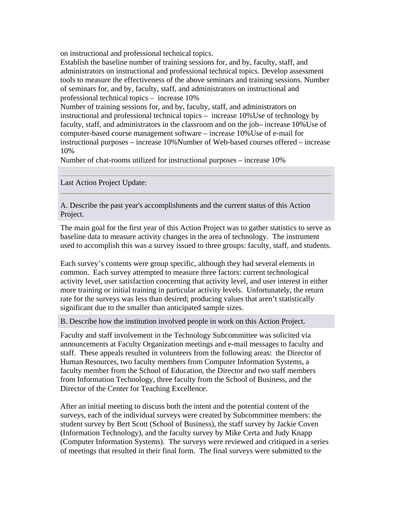on instructional and professional technical topics.

Establish the baseline number of training sessions for, and by, faculty, staff, and administrators on instructional and professional technical topics. Develop assessment tools to measure the effectiveness of the above seminars and training sessions. Number of seminars for, and by, faculty, staff, and administrators on instructional and professional technical topics – increase 10%

Number of training sessions for, and by, faculty, staff, and administrators on instructional and professional technical topics – increase 10%Use of technology by faculty, staff, and administrators in the classroom and on the job– increase 10%Use of computer-based course management software – increase 10%Use of e-mail for instructional purposes – increase 10%Number of Web-based courses offered – increase 10%

Number of chat-rooms utilized for instructional purposes – increase 10%

Last Action Project Update:

A. Describe the past year's accomplishments and the current status of this Action Project.

The main goal for the first year of this Action Project was to gather statistics to serve as baseline data to measure activity changes in the area of technology. The instrument used to accomplish this was a survey issued to three groups: faculty, staff, and students.

Each survey's contents were group specific, although they had several elements in common. Each survey attempted to measure three factors: current technological activity level, user satisfaction concerning that activity level, and user interest in either more training or initial training in particular activity levels. Unfortunately, the return rate for the surveys was less than desired; producing values that aren't statistically significant due to the smaller than anticipated sample sizes.

B. Describe how the institution involved people in work on this Action Project.

Faculty and staff involvement in the Technology Subcommittee was solicited via announcements at Faculty Organization meetings and e-mail messages to faculty and staff. These appeals resulted in volunteers from the following areas: the Director of Human Resources, two faculty members from Computer Information Systems, a faculty member from the School of Education, the Director and two staff members from Information Technology, three faculty from the School of Business, and the Director of the Center for Teaching Excellence.

After an initial meeting to discuss both the intent and the potential content of the surveys, each of the individual surveys were created by Subcommittee members: the student survey by Bert Scott (School of Business), the staff survey by Jackie Coven (Information Technology), and the faculty survey by Mike Certa and Judy Knapp (Computer Information Systems). The surveys were reviewed and critiqued in a series of meetings that resulted in their final form. The final surveys were submitted to the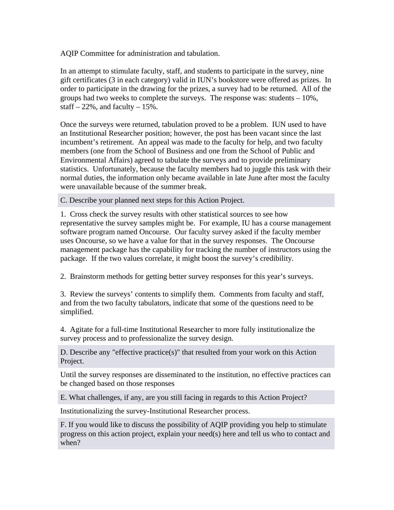AQIP Committee for administration and tabulation.

In an attempt to stimulate faculty, staff, and students to participate in the survey, nine gift certificates (3 in each category) valid in IUN's bookstore were offered as prizes. In order to participate in the drawing for the prizes, a survey had to be returned. All of the groups had two weeks to complete the surveys. The response was: students – 10%, staff  $-22\%$ , and faculty  $-15\%$ .

Once the surveys were returned, tabulation proved to be a problem. IUN used to have an Institutional Researcher position; however, the post has been vacant since the last incumbent's retirement. An appeal was made to the faculty for help, and two faculty members (one from the School of Business and one from the School of Public and Environmental Affairs) agreed to tabulate the surveys and to provide preliminary statistics. Unfortunately, because the faculty members had to juggle this task with their normal duties, the information only became available in late June after most the faculty were unavailable because of the summer break.

C. Describe your planned next steps for this Action Project.

1. Cross check the survey results with other statistical sources to see how representative the survey samples might be. For example, IU has a course management software program named Oncourse. Our faculty survey asked if the faculty member uses Oncourse, so we have a value for that in the survey responses. The Oncourse management package has the capability for tracking the number of instructors using the package. If the two values correlate, it might boost the survey's credibility.

2. Brainstorm methods for getting better survey responses for this year's surveys.

3. Review the surveys' contents to simplify them. Comments from faculty and staff, and from the two faculty tabulators, indicate that some of the questions need to be simplified.

4. Agitate for a full-time Institutional Researcher to more fully institutionalize the survey process and to professionalize the survey design.

D. Describe any "effective practice(s)" that resulted from your work on this Action Project.

Until the survey responses are disseminated to the institution, no effective practices can be changed based on those responses

E. What challenges, if any, are you still facing in regards to this Action Project?

Institutionalizing the survey-Institutional Researcher process.

F. If you would like to discuss the possibility of AQIP providing you help to stimulate progress on this action project, explain your need(s) here and tell us who to contact and when?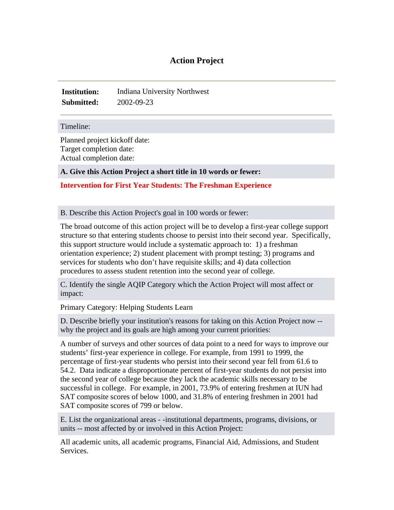# **Action Project**

**Institution:** Indiana University Northwest **Submitted:** 2002-09-23

#### Timeline:

Planned project kickoff date: Target completion date: Actual completion date:

## **A. Give this Action Project a short title in 10 words or fewer:**

## **Intervention for First Year Students: The Freshman Experience**

### B. Describe this Action Project's goal in 100 words or fewer:

The broad outcome of this action project will be to develop a first-year college support structure so that entering students choose to persist into their second year. Specifically, this support structure would include a systematic approach to: 1) a freshman orientation experience; 2) student placement with prompt testing; 3) programs and services for students who don't have requisite skills; and 4) data collection procedures to assess student retention into the second year of college.

C. Identify the single AQIP Category which the Action Project will most affect or impact:

Primary Category: Helping Students Learn

D. Describe briefly your institution's reasons for taking on this Action Project now - why the project and its goals are high among your current priorities:

A number of surveys and other sources of data point to a need for ways to improve our students' first-year experience in college. For example, from 1991 to 1999, the percentage of first-year students who persist into their second year fell from 61.6 to 54.2. Data indicate a disproportionate percent of first-year students do not persist into the second year of college because they lack the academic skills necessary to be successful in college. For example, in 2001, 73.9% of entering freshmen at IUN had SAT composite scores of below 1000, and 31.8% of entering freshmen in 2001 had SAT composite scores of 799 or below.

E. List the organizational areas - -institutional departments, programs, divisions, or units -- most affected by or involved in this Action Project:

All academic units, all academic programs, Financial Aid, Admissions, and Student Services.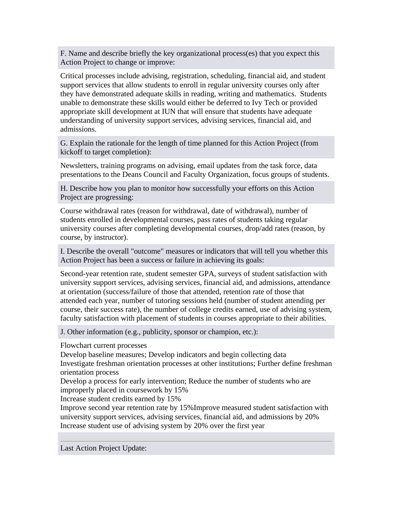F. Name and describe briefly the key organizational process(es) that you expect this Action Project to change or improve:

Critical processes include advising, registration, scheduling, financial aid, and student support services that allow students to enroll in regular university courses only after they have demonstrated adequate skills in reading, writing and mathematics. Students unable to demonstrate these skills would either be deferred to Ivy Tech or provided appropriate skill development at IUN that will ensure that students have adequate understanding of university support services, advising services, financial aid, and admissions.

G. Explain the rationale for the length of time planned for this Action Project (from kickoff to target completion):

Newsletters, training programs on advising, email updates from the task force, data presentations to the Deans Council and Faculty Organization, focus groups of students.

H. Describe how you plan to monitor how successfully your efforts on this Action Project are progressing:

Course withdrawal rates (reason for withdrawal, date of withdrawal), number of students enrolled in developmental courses, pass rates of students taking regular university courses after completing developmental courses, drop/add rates (reason, by course, by instructor).

I. Describe the overall "outcome" measures or indicators that will tell you whether this Action Project has been a success or failure in achieving its goals:

Second-year retention rate, student semester GPA, surveys of student satisfaction with university support services, advising services, financial aid, and admissions, attendance at orientation (success/failure of those that attended, retention rate of those that attended each year, number of tutoring sessions held (number of student attending per course, their success rate), the number of college credits earned, use of advising system, faculty satisfaction with placement of students in courses appropriate to their abilities.

J. Other information (e.g., publicity, sponsor or champion, etc.):

Flowchart current processes

Develop baseline measures; Develop indicators and begin collecting data Investigate freshman orientation processes at other institutions; Further define freshman orientation process

Develop a process for early intervention; Reduce the number of students who are improperly placed in coursework by 15%

Increase student credits earned by 15%

Improve second year retention rate by 15%Improve measured student satisfaction with university support services, advising services, financial aid, and admissions by 20% Increase student use of advising system by 20% over the first year

Last Action Project Update: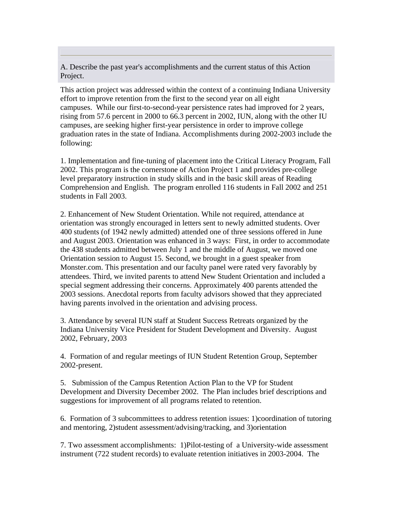A. Describe the past year's accomplishments and the current status of this Action Project.

This action project was addressed within the context of a continuing Indiana University effort to improve retention from the first to the second year on all eight campuses. While our first-to-second-year persistence rates had improved for 2 years, rising from 57.6 percent in 2000 to 66.3 percent in 2002, IUN, along with the other IU campuses, are seeking higher first-year persistence in order to improve college graduation rates in the state of Indiana. Accomplishments during 2002-2003 include the following:

1. Implementation and fine-tuning of placement into the Critical Literacy Program, Fall 2002. This program is the cornerstone of Action Project 1 and provides pre-college level preparatory instruction in study skills and in the basic skill areas of Reading Comprehension and English. The program enrolled 116 students in Fall 2002 and 251 students in Fall 2003.

2. Enhancement of New Student Orientation. While not required, attendance at orientation was strongly encouraged in letters sent to newly admitted students. Over 400 students (of 1942 newly admitted) attended one of three sessions offered in June and August 2003. Orientation was enhanced in 3 ways: First, in order to accommodate the 438 students admitted between July 1 and the middle of August, we moved one Orientation session to August 15. Second, we brought in a guest speaker from Monster.com. This presentation and our faculty panel were rated very favorably by attendees. Third, we invited parents to attend New Student Orientation and included a special segment addressing their concerns. Approximately 400 parents attended the 2003 sessions. Anecdotal reports from faculty advisors showed that they appreciated having parents involved in the orientation and advising process.

3. Attendance by several IUN staff at Student Success Retreats organized by the Indiana University Vice President for Student Development and Diversity. August 2002, February, 2003

4. Formation of and regular meetings of IUN Student Retention Group, September 2002-present.

5. Submission of the Campus Retention Action Plan to the VP for Student Development and Diversity December 2002. The Plan includes brief descriptions and suggestions for improvement of all programs related to retention.

6. Formation of 3 subcommittees to address retention issues: 1)coordination of tutoring and mentoring, 2)student assessment/advising/tracking, and 3)orientation

7. Two assessment accomplishments: 1)Pilot-testing of a University-wide assessment instrument (722 student records) to evaluate retention initiatives in 2003-2004. The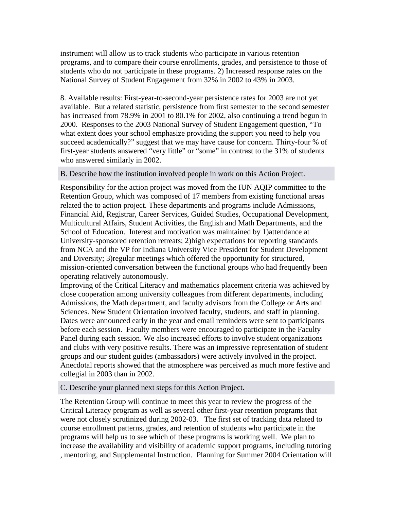instrument will allow us to track students who participate in various retention programs, and to compare their course enrollments, grades, and persistence to those of students who do not participate in these programs. 2) Increased response rates on the National Survey of Student Engagement from 32% in 2002 to 43% in 2003.

8. Available results: First-year-to-second-year persistence rates for 2003 are not yet available. But a related statistic, persistence from first semester to the second semester has increased from 78.9% in 2001 to 80.1% for 2002, also continuing a trend begun in 2000. Responses to the 2003 National Survey of Student Engagement question, "To what extent does your school emphasize providing the support you need to help you succeed academically?" suggest that we may have cause for concern. Thirty-four % of first-year students answered "very little" or "some" in contrast to the 31% of students who answered similarly in 2002.

### B. Describe how the institution involved people in work on this Action Project.

Responsibility for the action project was moved from the IUN AQIP committee to the Retention Group, which was composed of 17 members from existing functional areas related the to action project. These departments and programs include Admissions, Financial Aid, Registrar, Career Services, Guided Studies, Occupational Development, Multicultural Affairs, Student Activities, the English and Math Departments, and the School of Education. Interest and motivation was maintained by 1)attendance at University-sponsored retention retreats; 2)high expectations for reporting standards from NCA and the VP for Indiana University Vice President for Student Development and Diversity; 3)regular meetings which offered the opportunity for structured, mission-oriented conversation between the functional groups who had frequently been operating relatively autonomously.

Improving of the Critical Literacy and mathematics placement criteria was achieved by close cooperation among university colleagues from different departments, including Admissions, the Math department, and faculty advisors from the College or Arts and Sciences. New Student Orientation involved faculty, students, and staff in planning. Dates were announced early in the year and email reminders were sent to participants before each session. Faculty members were encouraged to participate in the Faculty Panel during each session. We also increased efforts to involve student organizations and clubs with very positive results. There was an impressive representation of student groups and our student guides (ambassadors) were actively involved in the project. Anecdotal reports showed that the atmosphere was perceived as much more festive and collegial in 2003 than in 2002.

## C. Describe your planned next steps for this Action Project.

The Retention Group will continue to meet this year to review the progress of the Critical Literacy program as well as several other first-year retention programs that were not closely scrutinized during 2002-03. The first set of tracking data related to course enrollment patterns, grades, and retention of students who participate in the programs will help us to see which of these programs is working well. We plan to increase the availability and visibility of academic support programs, including tutoring , mentoring, and Supplemental Instruction. Planning for Summer 2004 Orientation will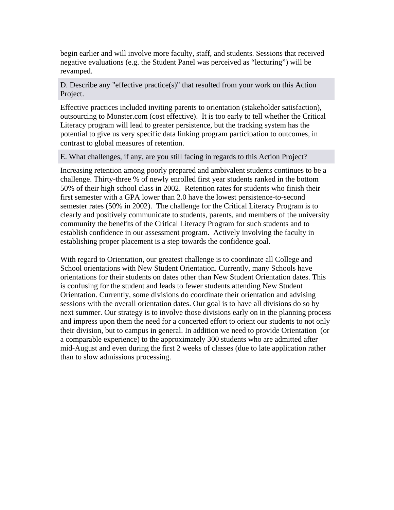begin earlier and will involve more faculty, staff, and students. Sessions that received negative evaluations (e.g. the Student Panel was perceived as "lecturing") will be revamped.

# D. Describe any "effective practice(s)" that resulted from your work on this Action Project.

Effective practices included inviting parents to orientation (stakeholder satisfaction), outsourcing to Monster.com (cost effective). It is too early to tell whether the Critical Literacy program will lead to greater persistence, but the tracking system has the potential to give us very specific data linking program participation to outcomes, in contrast to global measures of retention.

E. What challenges, if any, are you still facing in regards to this Action Project?

Increasing retention among poorly prepared and ambivalent students continues to be a challenge. Thirty-three % of newly enrolled first year students ranked in the bottom 50% of their high school class in 2002. Retention rates for students who finish their first semester with a GPA lower than 2.0 have the lowest persistence-to-second semester rates (50% in 2002). The challenge for the Critical Literacy Program is to clearly and positively communicate to students, parents, and members of the university community the benefits of the Critical Literacy Program for such students and to establish confidence in our assessment program. Actively involving the faculty in establishing proper placement is a step towards the confidence goal.

With regard to Orientation, our greatest challenge is to coordinate all College and School orientations with New Student Orientation. Currently, many Schools have orientations for their students on dates other than New Student Orientation dates. This is confusing for the student and leads to fewer students attending New Student Orientation. Currently, some divisions do coordinate their orientation and advising sessions with the overall orientation dates. Our goal is to have all divisions do so by next summer. Our strategy is to involve those divisions early on in the planning process and impress upon them the need for a concerted effort to orient our students to not only their division, but to campus in general. In addition we need to provide Orientation (or a comparable experience) to the approximately 300 students who are admitted after mid-August and even during the first 2 weeks of classes (due to late application rather than to slow admissions processing.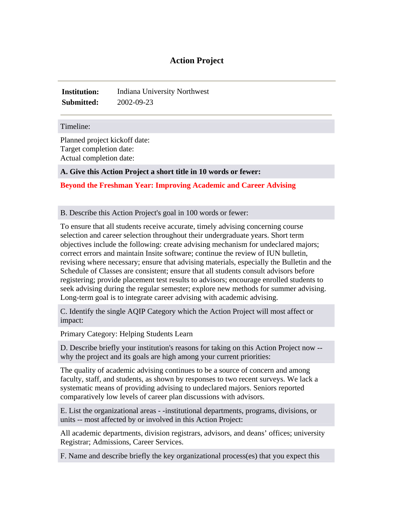# **Action Project**

**Institution:** Indiana University Northwest **Submitted:** 2002-09-23

#### Timeline:

Planned project kickoff date: Target completion date: Actual completion date:

### **A. Give this Action Project a short title in 10 words or fewer:**

## **Beyond the Freshman Year: Improving Academic and Career Advising**

### B. Describe this Action Project's goal in 100 words or fewer:

To ensure that all students receive accurate, timely advising concerning course selection and career selection throughout their undergraduate years. Short term objectives include the following: create advising mechanism for undeclared majors; correct errors and maintain Insite software; continue the review of IUN bulletin, revising where necessary; ensure that advising materials, especially the Bulletin and the Schedule of Classes are consistent; ensure that all students consult advisors before registering; provide placement test results to advisors; encourage enrolled students to seek advising during the regular semester; explore new methods for summer advising. Long-term goal is to integrate career advising with academic advising.

C. Identify the single AQIP Category which the Action Project will most affect or impact:

Primary Category: Helping Students Learn

D. Describe briefly your institution's reasons for taking on this Action Project now - why the project and its goals are high among your current priorities:

The quality of academic advising continues to be a source of concern and among faculty, staff, and students, as shown by responses to two recent surveys. We lack a systematic means of providing advising to undeclared majors. Seniors reported comparatively low levels of career plan discussions with advisors.

E. List the organizational areas - -institutional departments, programs, divisions, or units -- most affected by or involved in this Action Project:

All academic departments, division registrars, advisors, and deans' offices; university Registrar; Admissions, Career Services.

F. Name and describe briefly the key organizational process(es) that you expect this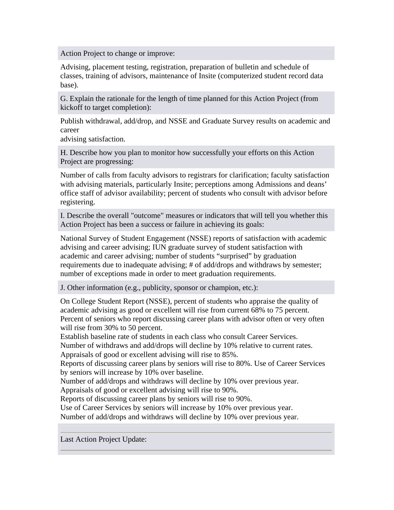Action Project to change or improve:

Advising, placement testing, registration, preparation of bulletin and schedule of classes, training of advisors, maintenance of Insite (computerized student record data base).

G. Explain the rationale for the length of time planned for this Action Project (from kickoff to target completion):

Publish withdrawal, add/drop, and NSSE and Graduate Survey results on academic and career

advising satisfaction.

H. Describe how you plan to monitor how successfully your efforts on this Action Project are progressing:

Number of calls from faculty advisors to registrars for clarification; faculty satisfaction with advising materials, particularly Insite; perceptions among Admissions and deans' office staff of advisor availability; percent of students who consult with advisor before registering.

I. Describe the overall "outcome" measures or indicators that will tell you whether this Action Project has been a success or failure in achieving its goals:

National Survey of Student Engagement (NSSE) reports of satisfaction with academic advising and career advising; IUN graduate survey of student satisfaction with academic and career advising; number of students "surprised" by graduation requirements due to inadequate advising; # of add/drops and withdraws by semester; number of exceptions made in order to meet graduation requirements.

J. Other information (e.g., publicity, sponsor or champion, etc.):

On College Student Report (NSSE), percent of students who appraise the quality of academic advising as good or excellent will rise from current 68% to 75 percent. Percent of seniors who report discussing career plans with advisor often or very often will rise from 30% to 50 percent.

Establish baseline rate of students in each class who consult Career Services.

Number of withdraws and add/drops will decline by 10% relative to current rates. Appraisals of good or excellent advising will rise to 85%.

Reports of discussing career plans by seniors will rise to 80%. Use of Career Services by seniors will increase by 10% over baseline.

Number of add/drops and withdraws will decline by 10% over previous year.

Appraisals of good or excellent advising will rise to 90%.

Reports of discussing career plans by seniors will rise to 90%.

Use of Career Services by seniors will increase by 10% over previous year.

Number of add/drops and withdraws will decline by 10% over previous year.

Last Action Project Update: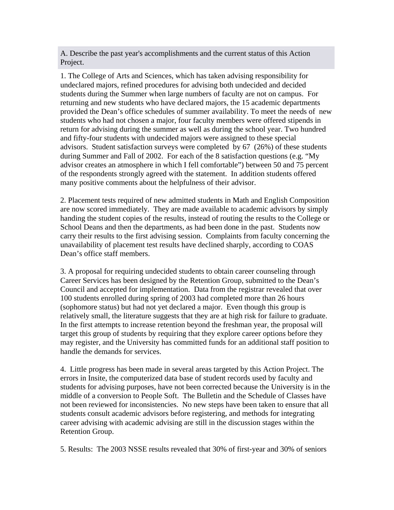A. Describe the past year's accomplishments and the current status of this Action Project.

1. The College of Arts and Sciences, which has taken advising responsibility for undeclared majors, refined procedures for advising both undecided and decided students during the Summer when large numbers of faculty are not on campus. For returning and new students who have declared majors, the 15 academic departments provided the Dean's office schedules of summer availability. To meet the needs of new students who had not chosen a major, four faculty members were offered stipends in return for advising during the summer as well as during the school year. Two hundred and fifty-four students with undecided majors were assigned to these special advisors. Student satisfaction surveys were completed by 67 (26%) of these students during Summer and Fall of 2002. For each of the 8 satisfaction questions (e.g. "My advisor creates an atmosphere in which I fell comfortable") between 50 and 75 percent of the respondents strongly agreed with the statement. In addition students offered many positive comments about the helpfulness of their advisor.

2. Placement tests required of new admitted students in Math and English Composition are now scored immediately. They are made available to academic advisors by simply handing the student copies of the results, instead of routing the results to the College or School Deans and then the departments, as had been done in the past. Students now carry their results to the first advising session. Complaints from faculty concerning the unavailability of placement test results have declined sharply, according to COAS Dean's office staff members.

3. A proposal for requiring undecided students to obtain career counseling through Career Services has been designed by the Retention Group, submitted to the Dean's Council and accepted for implementation. Data from the registrar revealed that over 100 students enrolled during spring of 2003 had completed more than 26 hours (sophomore status) but had not yet declared a major. Even though this group is relatively small, the literature suggests that they are at high risk for failure to graduate. In the first attempts to increase retention beyond the freshman year, the proposal will target this group of students by requiring that they explore career options before they may register, and the University has committed funds for an additional staff position to handle the demands for services.

4. Little progress has been made in several areas targeted by this Action Project. The errors in Insite, the computerized data base of student records used by faculty and students for advising purposes, have not been corrected because the University is in the middle of a conversion to People Soft. The Bulletin and the Schedule of Classes have not been reviewed for inconsistencies. No new steps have been taken to ensure that all students consult academic advisors before registering, and methods for integrating career advising with academic advising are still in the discussion stages within the Retention Group.

5. Results: The 2003 NSSE results revealed that 30% of first-year and 30% of seniors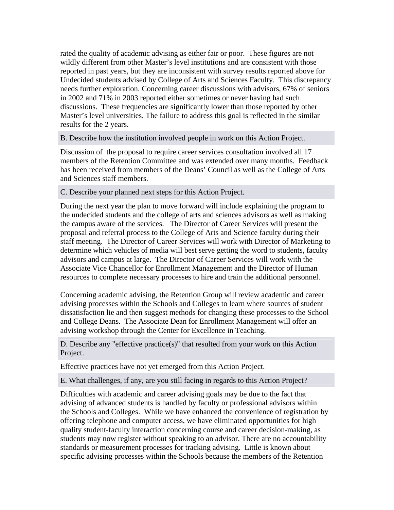rated the quality of academic advising as either fair or poor. These figures are not wildly different from other Master's level institutions and are consistent with those reported in past years, but they are inconsistent with survey results reported above for Undecided students advised by College of Arts and Sciences Faculty. This discrepancy needs further exploration. Concerning career discussions with advisors, 67% of seniors in 2002 and 71% in 2003 reported either sometimes or never having had such discussions. These frequencies are significantly lower than those reported by other Master's level universities. The failure to address this goal is reflected in the similar results for the 2 years.

### B. Describe how the institution involved people in work on this Action Project.

Discussion of the proposal to require career services consultation involved all 17 members of the Retention Committee and was extended over many months. Feedback has been received from members of the Deans' Council as well as the College of Arts and Sciences staff members.

## C. Describe your planned next steps for this Action Project.

During the next year the plan to move forward will include explaining the program to the undecided students and the college of arts and sciences advisors as well as making the campus aware of the services. The Director of Career Services will present the proposal and referral process to the College of Arts and Science faculty during their staff meeting. The Director of Career Services will work with Director of Marketing to determine which vehicles of media will best serve getting the word to students, faculty advisors and campus at large. The Director of Career Services will work with the Associate Vice Chancellor for Enrollment Management and the Director of Human resources to complete necessary processes to hire and train the additional personnel.

Concerning academic advising, the Retention Group will review academic and career advising processes within the Schools and Colleges to learn where sources of student dissatisfaction lie and then suggest methods for changing these processes to the School and College Deans. The Associate Dean for Enrollment Management will offer an advising workshop through the Center for Excellence in Teaching.

D. Describe any "effective practice(s)" that resulted from your work on this Action Project.

Effective practices have not yet emerged from this Action Project.

E. What challenges, if any, are you still facing in regards to this Action Project?

Difficulties with academic and career advising goals may be due to the fact that advising of advanced students is handled by faculty or professional advisors within the Schools and Colleges. While we have enhanced the convenience of registration by offering telephone and computer access, we have eliminated opportunities for high quality student-faculty interaction concerning course and career decision-making, as students may now register without speaking to an advisor. There are no accountability standards or measurement processes for tracking advising. Little is known about specific advising processes within the Schools because the members of the Retention